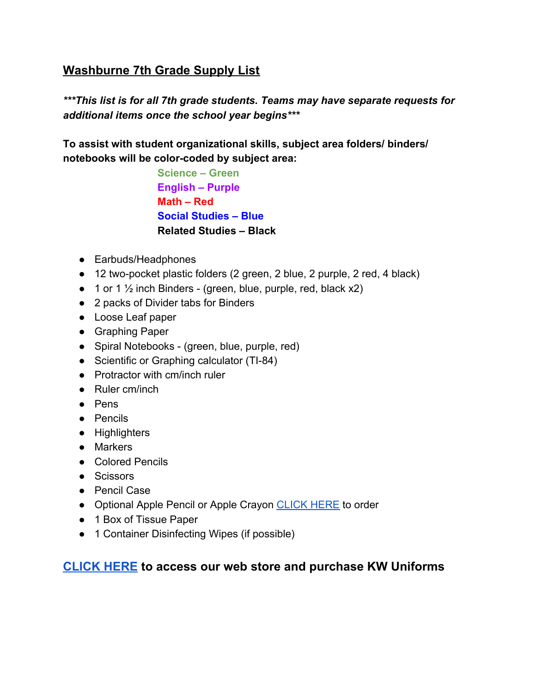## **Washburne 7th Grade Supply List**

*\*\*\*This list is for all 7th grade students. Teams may have separate requests for additional items once the school year begins\*\*\**

**To assist with student organizational skills, subject area folders/ binders/ notebooks will be color-coded by subject area:**

> **Science – Green English – Purple Math – Red Social Studies – Blue Related Studies – Black**

- Earbuds/Headphones
- 12 two-pocket plastic folders (2 green, 2 blue, 2 purple, 2 red, 4 black)
- $\bullet$  1 or 1  $\frac{1}{2}$  inch Binders (green, blue, purple, red, black x2)
- 2 packs of Divider tabs for Binders
- Loose Leaf paper
- Graphing Paper
- Spiral Notebooks (green, blue, purple, red)
- Scientific or Graphing calculator (TI-84)
- Protractor with cm/inch ruler
- Ruler cm/inch
- Pens
- Pencils
- Highlighters
- Markers
- Colored Pencils
- Scissors
- Pencil Case
- Optional Apple Pencil or Apple Crayon [CLICK HERE](https://winnetka.revtrak.net/Technology/#/list) to order
- 1 Box of Tissue Paper
- 1 Container Disinfecting Wipes (if possible)

## **[CLICK](https://store.onestoneapparel.com/washburne_skokie/shop/home) HERE to access our web store and purchase KW Uniforms**